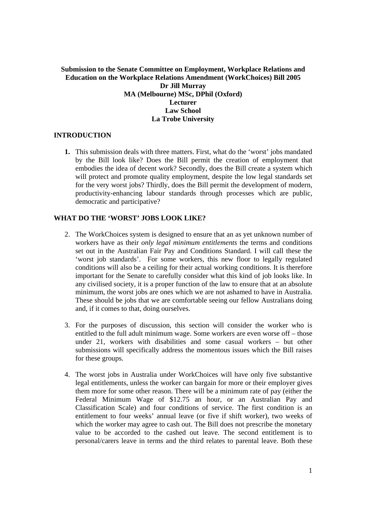# **Submission to the Senate Committee on Employment, Workplace Relations and Education on the Workplace Relations Amendment (WorkChoices) Bill 2005 Dr Jill Murray MA (Melbourne) MSc, DPhil (Oxford) Lecturer Law School La Trobe University**

# **INTRODUCTION**

**1.** This submission deals with three matters. First, what do the 'worst' jobs mandated by the Bill look like? Does the Bill permit the creation of employment that embodies the idea of decent work? Secondly, does the Bill create a system which will protect and promote quality employment, despite the low legal standards set for the very worst jobs? Thirdly, does the Bill permit the development of modern, productivity-enhancing labour standards through processes which are public, democratic and participative?

# **WHAT DO THE 'WORST' JOBS LOOK LIKE?**

- 2. The WorkChoices system is designed to ensure that an as yet unknown number of workers have as their *only legal minimum entitlements* the terms and conditions set out in the Australian Fair Pay and Conditions Standard. I will call these the 'worst job standards'. For some workers, this new floor to legally regulated conditions will also be a ceiling for their actual working conditions. It is therefore important for the Senate to carefully consider what this kind of job looks like. In any civilised society, it is a proper function of the law to ensure that at an absolute minimum, the worst jobs are ones which we are not ashamed to have in Australia. These should be jobs that we are comfortable seeing our fellow Australians doing and, if it comes to that, doing ourselves.
- 3. For the purposes of discussion, this section will consider the worker who is entitled to the full adult minimum wage. Some workers are even worse off – those under 21, workers with disabilities and some casual workers – but other submissions will specifically address the momentous issues which the Bill raises for these groups.
- 4. The worst jobs in Australia under WorkChoices will have only five substantive legal entitlements, unless the worker can bargain for more or their employer gives them more for some other reason. There will be a minimum rate of pay (either the Federal Minimum Wage of \$12.75 an hour, or an Australian Pay and Classification Scale) and four conditions of service. The first condition is an entitlement to four weeks' annual leave (or five if shift worker), two weeks of which the worker may agree to cash out. The Bill does not prescribe the monetary value to be accorded to the cashed out leave. The second entitlement is to personal/carers leave in terms and the third relates to parental leave. Both these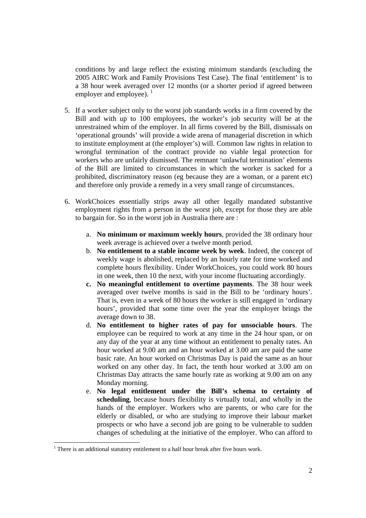conditions by and large reflect the existing minimum standards (excluding the 2005 AIRC Work and Family Provisions Test Case). The final 'entitlement' is to a 38 hour week averaged over 12 months (or a shorter period if agreed between employer and employee).  $\frac{1}{1}$ 

- 5. If a worker subject only to the worst job standards works in a firm covered by the Bill and with up to 100 employees, the worker's job security will be at the unrestrained whim of the employer. In all firms covered by the Bill, dismissals on 'operational grounds' will provide a wide arena of managerial discretion in which to institute employment at (the employer's) will. Common law rights in relation to wrongful termination of the contract provide no viable legal protection for workers who are unfairly dismissed. The remnant 'unlawful termination' elements of the Bill are limited to circumstances in which the worker is sacked for a prohibited, discriminatory reason (eg because they are a woman, or a parent etc) and therefore only provide a remedy in a very small range of circumstances.
- 6. WorkChoices essentially strips away all other legally mandated substantive employment rights from a person in the worst job, except for those they are able to bargain for. So in the worst job in Australia there are :
	- a. **No minimum or maximum weekly hours**, provided the 38 ordinary hour week average is achieved over a twelve month period.
	- b. **No entitlement to a stable income week by week**. Indeed, the concept of weekly wage is abolished, replaced by an hourly rate for time worked and complete hours flexibility. Under WorkChoices, you could work 80 hours in one week, then 10 the next, with your income fluctuating accordingly.
	- **c. No meaningful entitlement to overtime payments**. The 38 hour week averaged over twelve months is said in the Bill to be 'ordinary hours'. That is, even in a week of 80 hours the worker is still engaged in 'ordinary hours', provided that some time over the year the employer brings the average down to 38.
	- d. **No entitlement to higher rates of pay for unsociable hours**. The employee can be required to work at any time in the 24 hour span, or on any day of the year at any time without an entitlement to penalty rates. An hour worked at 9.00 am and an hour worked at 3.00 am are paid the same basic rate. An hour worked on Christmas Day is paid the same as an hour worked on any other day. In fact, the tenth hour worked at 3.00 am on Christmas Day attracts the same hourly rate as working at 9.00 am on any Monday morning.
	- e. **No legal entitlement under the Bill's schema to certainty of scheduling**, because hours flexibility is virtually total, and wholly in the hands of the employer. Workers who are parents, or who care for the elderly or disabled, or who are studying to improve their labour market prospects or who have a second job are going to be vulnerable to sudden changes of scheduling at the initiative of the employer. Who can afford to

 $\overline{a}$ 

 $<sup>1</sup>$  There is an additional statutory entitlement to a half hour break after five hours work.</sup>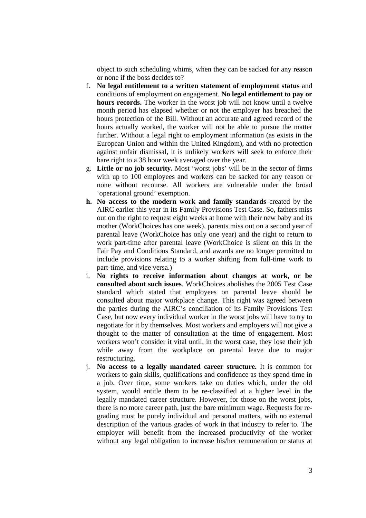object to such scheduling whims, when they can be sacked for any reason or none if the boss decides to?

- f. **No legal entitlement to a written statement of employment status** and conditions of employment on engagement. **No legal entitlement to pay or hours records.** The worker in the worst job will not know until a twelve month period has elapsed whether or not the employer has breached the hours protection of the Bill. Without an accurate and agreed record of the hours actually worked, the worker will not be able to pursue the matter further. Without a legal right to employment information (as exists in the European Union and within the United Kingdom), and with no protection against unfair dismissal, it is unlikely workers will seek to enforce their bare right to a 38 hour week averaged over the year.
- g. **Little or no job security.** Most 'worst jobs' will be in the sector of firms with up to 100 employees and workers can be sacked for any reason or none without recourse. All workers are vulnerable under the broad 'operational ground' exemption.
- **h. No access to the modern work and family standards** created by the AIRC earlier this year in its Family Provisions Test Case. So, fathers miss out on the right to request eight weeks at home with their new baby and its mother (WorkChoices has one week), parents miss out on a second year of parental leave (WorkChoice has only one year) and the right to return to work part-time after parental leave (WorkChoice is silent on this in the Fair Pay and Conditions Standard, and awards are no longer permitted to include provisions relating to a worker shifting from full-time work to part-time, and vice versa.)
- i. **No rights to receive information about changes at work, or be consulted about such issues**. WorkChoices abolishes the 2005 Test Case standard which stated that employees on parental leave should be consulted about major workplace change. This right was agreed between the parties during the AIRC's conciliation of its Family Provisions Test Case, but now every individual worker in the worst jobs will have to try to negotiate for it by themselves. Most workers and employers will not give a thought to the matter of consultation at the time of engagement. Most workers won't consider it vital until, in the worst case, they lose their job while away from the workplace on parental leave due to major restructuring.
- j. **No access to a legally mandated career structure.** It is common for workers to gain skills, qualifications and confidence as they spend time in a job. Over time, some workers take on duties which, under the old system, would entitle them to be re-classified at a higher level in the legally mandated career structure. However, for those on the worst jobs, there is no more career path, just the bare minimum wage. Requests for regrading must be purely individual and personal matters, with no external description of the various grades of work in that industry to refer to. The employer will benefit from the increased productivity of the worker without any legal obligation to increase his/her remuneration or status at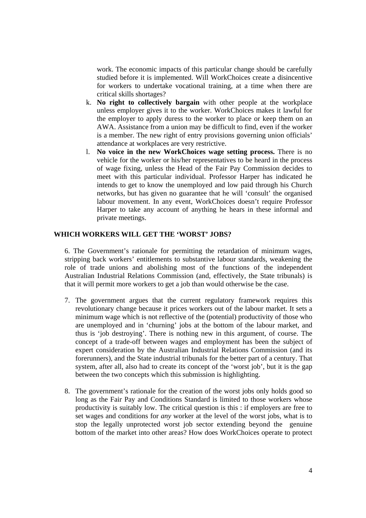work. The economic impacts of this particular change should be carefully studied before it is implemented. Will WorkChoices create a disincentive for workers to undertake vocational training, at a time when there are critical skills shortages?

- k. **No right to collectively bargain** with other people at the workplace unless employer gives it to the worker. WorkChoices makes it lawful for the employer to apply duress to the worker to place or keep them on an AWA. Assistance from a union may be difficult to find, even if the worker is a member. The new right of entry provisions governing union officials' attendance at workplaces are very restrictive.
- l. **No voice in the new WorkChoices wage setting process.** There is no vehicle for the worker or his/her representatives to be heard in the process of wage fixing, unless the Head of the Fair Pay Commission decides to meet with this particular individual. Professor Harper has indicated he intends to get to know the unemployed and low paid through his Church networks, but has given no guarantee that he will 'consult' the organised labour movement. In any event, WorkChoices doesn't require Professor Harper to take any account of anything he hears in these informal and private meetings.

# **WHICH WORKERS WILL GET THE 'WORST' JOBS?**

6. The Government's rationale for permitting the retardation of minimum wages, stripping back workers' entitlements to substantive labour standards, weakening the role of trade unions and abolishing most of the functions of the independent Australian Industrial Relations Commission (and, effectively, the State tribunals) is that it will permit more workers to get a job than would otherwise be the case.

- 7. The government argues that the current regulatory framework requires this revolutionary change because it prices workers out of the labour market. It sets a minimum wage which is not reflective of the (potential) productivity of those who are unemployed and in 'churning' jobs at the bottom of the labour market, and thus is 'job destroying'. There is nothing new in this argument, of course. The concept of a trade-off between wages and employment has been the subject of expert consideration by the Australian Industrial Relations Commission (and its forerunners), and the State industrial tribunals for the better part of a century. That system, after all, also had to create its concept of the 'worst job', but it is the gap between the two concepts which this submission is highlighting.
- 8. The government's rationale for the creation of the worst jobs only holds good so long as the Fair Pay and Conditions Standard is limited to those workers whose productivity is suitably low. The critical question is this : if employers are free to set wages and conditions for *any* worker at the level of the worst jobs, what is to stop the legally unprotected worst job sector extending beyond the genuine bottom of the market into other areas? How does WorkChoices operate to protect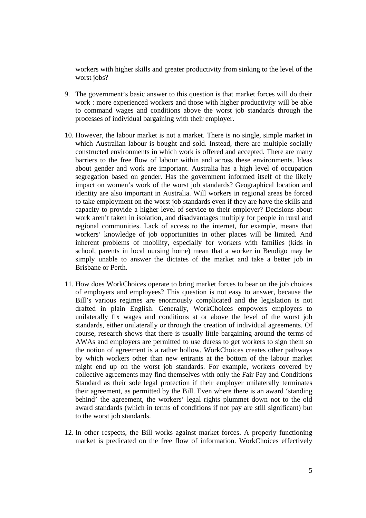workers with higher skills and greater productivity from sinking to the level of the worst jobs?

- 9. The government's basic answer to this question is that market forces will do their work : more experienced workers and those with higher productivity will be able to command wages and conditions above the worst job standards through the processes of individual bargaining with their employer.
- 10. However, the labour market is not a market. There is no single, simple market in which Australian labour is bought and sold. Instead, there are multiple socially constructed environments in which work is offered and accepted. There are many barriers to the free flow of labour within and across these environments. Ideas about gender and work are important. Australia has a high level of occupation segregation based on gender. Has the government informed itself of the likely impact on women's work of the worst job standards? Geographical location and identity are also important in Australia. Will workers in regional areas be forced to take employment on the worst job standards even if they are have the skills and capacity to provide a higher level of service to their employer? Decisions about work aren't taken in isolation, and disadvantages multiply for people in rural and regional communities. Lack of access to the internet, for example, means that workers' knowledge of job opportunities in other places will be limited. And inherent problems of mobility, especially for workers with families (kids in school, parents in local nursing home) mean that a worker in Bendigo may be simply unable to answer the dictates of the market and take a better job in Brisbane or Perth.
- 11. How does WorkChoices operate to bring market forces to bear on the job choices of employers and employees? This question is not easy to answer, because the Bill's various regimes are enormously complicated and the legislation is not drafted in plain English. Generally, WorkChoices empowers employers to unilaterally fix wages and conditions at or above the level of the worst job standards, either unilaterally or through the creation of individual agreements. Of course, research shows that there is usually little bargaining around the terms of AWAs and employers are permitted to use duress to get workers to sign them so the notion of agreement is a rather hollow. WorkChoices creates other pathways by which workers other than new entrants at the bottom of the labour market might end up on the worst job standards. For example, workers covered by collective agreements may find themselves with only the Fair Pay and Conditions Standard as their sole legal protection if their employer unilaterally terminates their agreement, as permitted by the Bill. Even where there is an award 'standing behind' the agreement, the workers' legal rights plummet down not to the old award standards (which in terms of conditions if not pay are still significant) but to the worst job standards.
- 12. In other respects, the Bill works against market forces. A properly functioning market is predicated on the free flow of information. WorkChoices effectively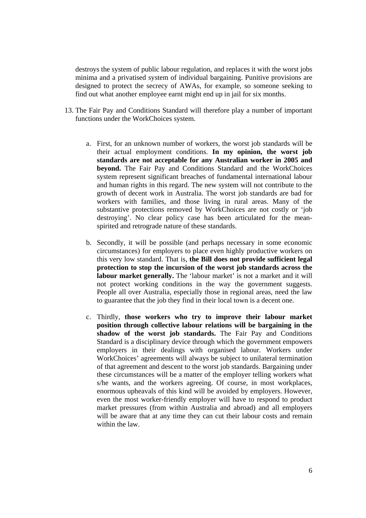destroys the system of public labour regulation, and replaces it with the worst jobs minima and a privatised system of individual bargaining. Punitive provisions are designed to protect the secrecy of AWAs, for example, so someone seeking to find out what another employee earnt might end up in jail for six months.

- 13. The Fair Pay and Conditions Standard will therefore play a number of important functions under the WorkChoices system.
	- a. First, for an unknown number of workers, the worst job standards will be their actual employment conditions. **In my opinion, the worst job standards are not acceptable for any Australian worker in 2005 and beyond.** The Fair Pay and Conditions Standard and the WorkChoices system represent significant breaches of fundamental international labour and human rights in this regard. The new system will not contribute to the growth of decent work in Australia. The worst job standards are bad for workers with families, and those living in rural areas. Many of the substantive protections removed by WorkChoices are not costly or 'job destroying'. No clear policy case has been articulated for the meanspirited and retrograde nature of these standards.
	- b. Secondly, it will be possible (and perhaps necessary in some economic circumstances) for employers to place even highly productive workers on this very low standard. That is, **the Bill does not provide sufficient legal protection to stop the incursion of the worst job standards across the**  labour market generally. The 'labour market' is not a market and it will not protect working conditions in the way the government suggests. People all over Australia, especially those in regional areas, need the law to guarantee that the job they find in their local town is a decent one.
	- c. Thirdly, **those workers who try to improve their labour market position through collective labour relations will be bargaining in the shadow of the worst job standards.** The Fair Pay and Conditions Standard is a disciplinary device through which the government empowers employers in their dealings with organised labour. Workers under WorkChoices' agreements will always be subject to unilateral termination of that agreement and descent to the worst job standards. Bargaining under these circumstances will be a matter of the employer telling workers what s/he wants, and the workers agreeing. Of course, in most workplaces, enormous upheavals of this kind will be avoided by employers. However, even the most worker-friendly employer will have to respond to product market pressures (from within Australia and abroad) and all employers will be aware that at any time they can cut their labour costs and remain within the law.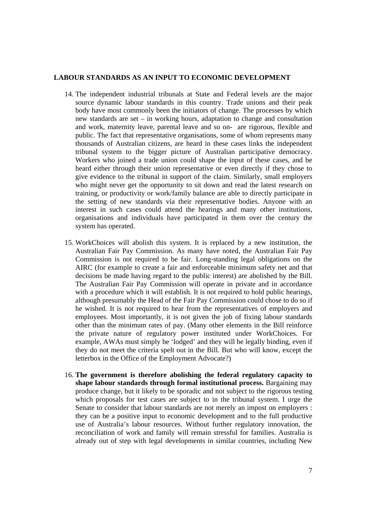#### **LABOUR STANDARDS AS AN INPUT TO ECONOMIC DEVELOPMENT**

- 14. The independent industrial tribunals at State and Federal levels are the major source dynamic labour standards in this country. Trade unions and their peak body have most commonly been the initiators of change. The processes by which new standards are set – in working hours, adaptation to change and consultation and work, maternity leave, parental leave and so on- are rigorous, flexible and public. The fact that representative organisations, some of whom represents many thousands of Australian citizens, are heard in these cases links the independent tribunal system to the bigger picture of Australian participative democracy. Workers who joined a trade union could shape the input of these cases, and be heard either through their union representative or even directly if they chose to give evidence to the tribunal in support of the claim. Similarly, small employers who might never get the opportunity to sit down and read the latest research on training, or productivity or work/family balance are able to directly participate in the setting of new standards via their representative bodies. Anyone with an interest in such cases could attend the hearings and many other institutions, organisations and individuals have participated in them over the century the system has operated.
- 15. WorkChoices will abolish this system. It is replaced by a new institution, the Australian Fair Pay Commission. As many have noted, the Australian Fair Pay Commission is not required to be fair. Long-standing legal obligations on the AIRC (for example to create a fair and enforceable minimum safety net and that decisions be made having regard to the public interest) are abolished by the Bill. The Australian Fair Pay Commission will operate in private and in accordance with a procedure which it will establish. It is not required to hold public hearings, although presumably the Head of the Fair Pay Commission could chose to do so if he wished. It is not required to hear from the representatives of employers and employees. Most importantly, it is not given the job of fixing labour standards other than the minimum rates of pay. (Many other elements in the Bill reinforce the private nature of regulatory power instituted under WorkChoices. For example, AWAs must simply be 'lodged' and they will be legally binding, even if they do not meet the criteria spelt out in the Bill. But who will know, except the letterbox in the Office of the Employment Advocate?)
- 16. **The government is therefore abolishing the federal regulatory capacity to shape labour standards through formal institutional process.** Bargaining may produce change, but it likely to be sporadic and not subject to the rigorous testing which proposals for test cases are subject to in the tribunal system. I urge the Senate to consider that labour standards are not merely an impost on employers : they can be a positive input to economic development and to the full productive use of Australia's labour resources. Without further regulatory innovation, the reconciliation of work and family will remain stressful for families. Australia is already out of step with legal developments in similar countries, including New